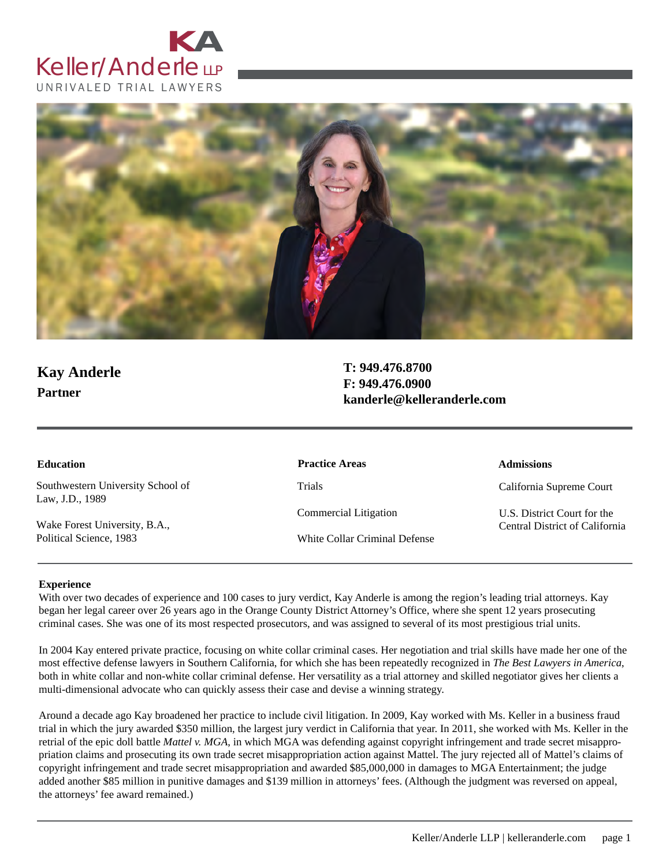



# **Kay Anderle Partner**

**T: 949.476.8700 F: 949.476.0900 kanderle@kelleranderle.com**

| <b>Education</b>                                     | <b>Practice Areas</b>         | <b>Admissions</b>              |
|------------------------------------------------------|-------------------------------|--------------------------------|
| Southwestern University School of<br>Law, J.D., 1989 | Trials                        | California Supreme Court       |
|                                                      | Commercial Litigation         | U.S. District Court for the    |
| Wake Forest University, B.A.,                        |                               | Central District of California |
| Political Science, 1983                              | White Collar Criminal Defense |                                |

#### **Experience**

With over two decades of experience and 100 cases to jury verdict, Kay Anderle is among the region's leading trial attorneys. Kay began her legal career over 26 years ago in the Orange County District Attorney's Office, where she spent 12 years prosecuting criminal cases. She was one of its most respected prosecutors, and was assigned to several of its most prestigious trial units.

In 2004 Kay entered private practice, focusing on white collar criminal cases. Her negotiation and trial skills have made her one of the most effective defense lawyers in Southern California, for which she has been repeatedly recognized in *The Best Lawyers in America*, both in white collar and non-white collar criminal defense. Her versatility as a trial attorney and skilled negotiator gives her clients a multi-dimensional advocate who can quickly assess their case and devise a winning strategy.

Around a decade ago Kay broadened her practice to include civil litigation. In 2009, Kay worked with Ms. Keller in a business fraud trial in which the jury awarded \$350 million, the largest jury verdict in California that year. In 2011, she worked with Ms. Keller in the retrial of the epic doll battle *Mattel v. MGA*, in which MGA was defending against copyright infringement and trade secret misappropriation claims and prosecuting its own trade secret misappropriation action against Mattel. The jury rejected all of Mattel's claims of copyright infringement and trade secret misappropriation and awarded \$85,000,000 in damages to MGA Entertainment; the judge added another \$85 million in punitive damages and \$139 million in attorneys' fees. (Although the judgment was reversed on appeal, the attorneys' fee award remained.)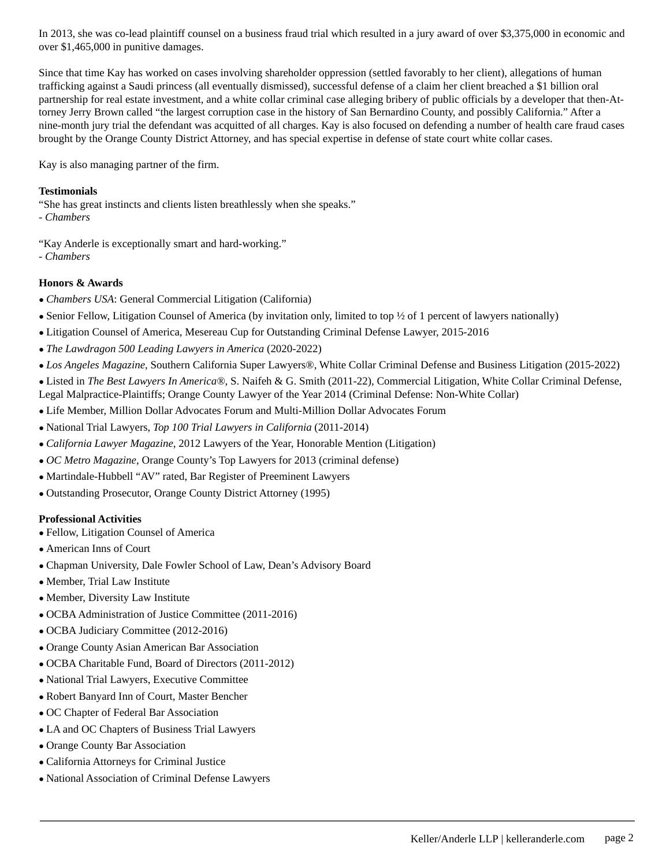In 2013, she was co-lead plaintiff counsel on a business fraud trial which resulted in a jury award of over \$3,375,000 in economic and over \$1,465,000 in punitive damages.

Since that time Kay has worked on cases involving shareholder oppression (settled favorably to her client), allegations of human trafficking against a Saudi princess (all eventually dismissed), successful defense of a claim her client breached a \$1 billion oral partnership for real estate investment, and a white collar criminal case alleging bribery of public officials by a developer that then-Attorney Jerry Brown called "the largest corruption case in the history of San Bernardino County, and possibly California." After a nine-month jury trial the defendant was acquitted of all charges. Kay is also focused on defending a number of health care fraud cases brought by the Orange County District Attorney, and has special expertise in defense of state court white collar cases.

Kay is also managing partner of the firm.

### **Testimonials**

"She has great instincts and clients listen breathlessly when she speaks."

- *Chambers*
- "Kay Anderle is exceptionally smart and hard-working."
- *Chambers*

## **Honors & Awards**

- *● Chambers USA*: General Commercial Litigation (California)
- *●* Senior Fellow, Litigation Counsel of America (by invitation only, limited to top ½ of 1 percent of lawyers nationally)
- *●* Litigation Counsel of America, Mesereau Cup for Outstanding Criminal Defense Lawyer, 2015-2016
- *● The Lawdragon 500 Leading Lawyers in America* (2020-2022)
- *● Los Angeles Magazine*, Southern California Super Lawyers®, White Collar Criminal Defense and Business Litigation (2015-2022)

*●* Listed in *The Best Lawyers In America®*, S. Naifeh & G. Smith (2011-22), Commercial Litigation, White Collar Criminal Defense, Legal Malpractice-Plaintiffs; Orange County Lawyer of the Year 2014 (Criminal Defense: Non-White Collar)

- *●* Life Member, Million Dollar Advocates Forum and Multi-Million Dollar Advocates Forum
- *●* National Trial Lawyers, *Top 100 Trial Lawyers in California* (2011-2014)
- *● California Lawyer Magazine*, 2012 Lawyers of the Year, Honorable Mention (Litigation)
- *● OC Metro Magazine*, Orange County's Top Lawyers for 2013 (criminal defense)
- *●* Martindale-Hubbell "AV" rated, Bar Register of Preeminent Lawyers
- *●* Outstanding Prosecutor, Orange County District Attorney (1995)

#### **Professional Activities**

- *●* Fellow, Litigation Counsel of America
- *●* American Inns of Court
- *●* Chapman University, Dale Fowler School of Law, Dean's Advisory Board
- *●* Member, Trial Law Institute
- *●* Member, Diversity Law Institute
- *●* OCBA Administration of Justice Committee (2011-2016)
- *●* OCBA Judiciary Committee (2012-2016)
- *●* Orange County Asian American Bar Association
- *●* OCBA Charitable Fund, Board of Directors (2011-2012)
- *●* National Trial Lawyers, Executive Committee
- *●* Robert Banyard Inn of Court, Master Bencher
- *●* OC Chapter of Federal Bar Association
- *●* LA and OC Chapters of Business Trial Lawyers
- *●* Orange County Bar Association
- *●* California Attorneys for Criminal Justice
- *●* National Association of Criminal Defense Lawyers